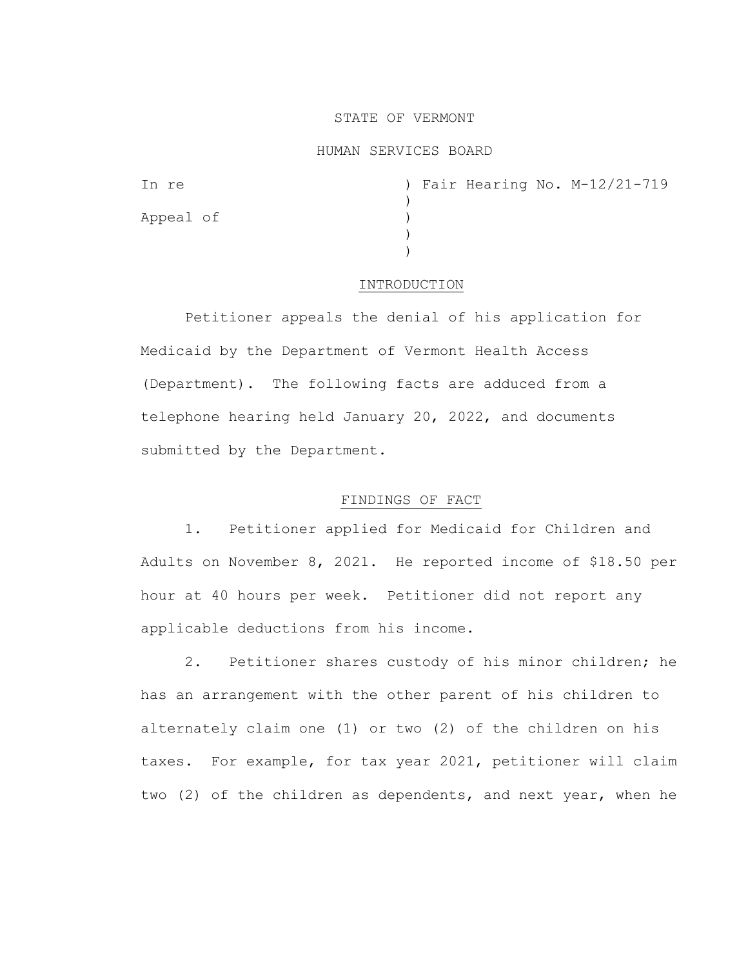## STATE OF VERMONT

### HUMAN SERVICES BOARD

| In re     |  |  | ) Fair Hearing No. M-12/21-719 |
|-----------|--|--|--------------------------------|
|           |  |  |                                |
| Appeal of |  |  |                                |
|           |  |  |                                |
|           |  |  |                                |

#### INTRODUCTION

Petitioner appeals the denial of his application for Medicaid by the Department of Vermont Health Access (Department). The following facts are adduced from a telephone hearing held January 20, 2022, and documents submitted by the Department.

# FINDINGS OF FACT

1. Petitioner applied for Medicaid for Children and Adults on November 8, 2021. He reported income of \$18.50 per hour at 40 hours per week. Petitioner did not report any applicable deductions from his income.

2. Petitioner shares custody of his minor children; he has an arrangement with the other parent of his children to alternately claim one (1) or two (2) of the children on his taxes. For example, for tax year 2021, petitioner will claim two (2) of the children as dependents, and next year, when he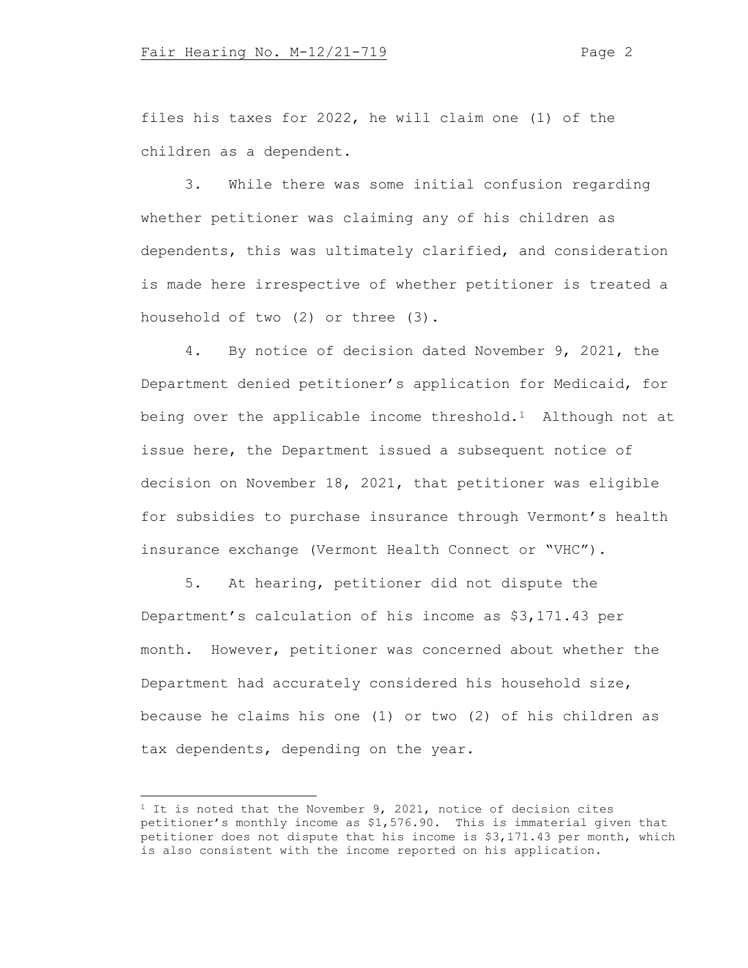files his taxes for 2022, he will claim one (1) of the children as a dependent.

3. While there was some initial confusion regarding whether petitioner was claiming any of his children as dependents, this was ultimately clarified, and consideration is made here irrespective of whether petitioner is treated a household of two (2) or three (3).

4. By notice of decision dated November 9, 2021, the Department denied petitioner's application for Medicaid, for being over the applicable income threshold.<sup>[1](#page-1-0)</sup> Although not at issue here, the Department issued a subsequent notice of decision on November 18, 2021, that petitioner was eligible for subsidies to purchase insurance through Vermont's health insurance exchange (Vermont Health Connect or "VHC").

5. At hearing, petitioner did not dispute the Department's calculation of his income as \$3,171.43 per month. However, petitioner was concerned about whether the Department had accurately considered his household size, because he claims his one (1) or two (2) of his children as tax dependents, depending on the year.

<span id="page-1-0"></span><sup>&</sup>lt;sup>1</sup> It is noted that the November 9, 2021, notice of decision cites petitioner's monthly income as \$1,576.90. This is immaterial given that petitioner does not dispute that his income is \$3,171.43 per month, which is also consistent with the income reported on his application.